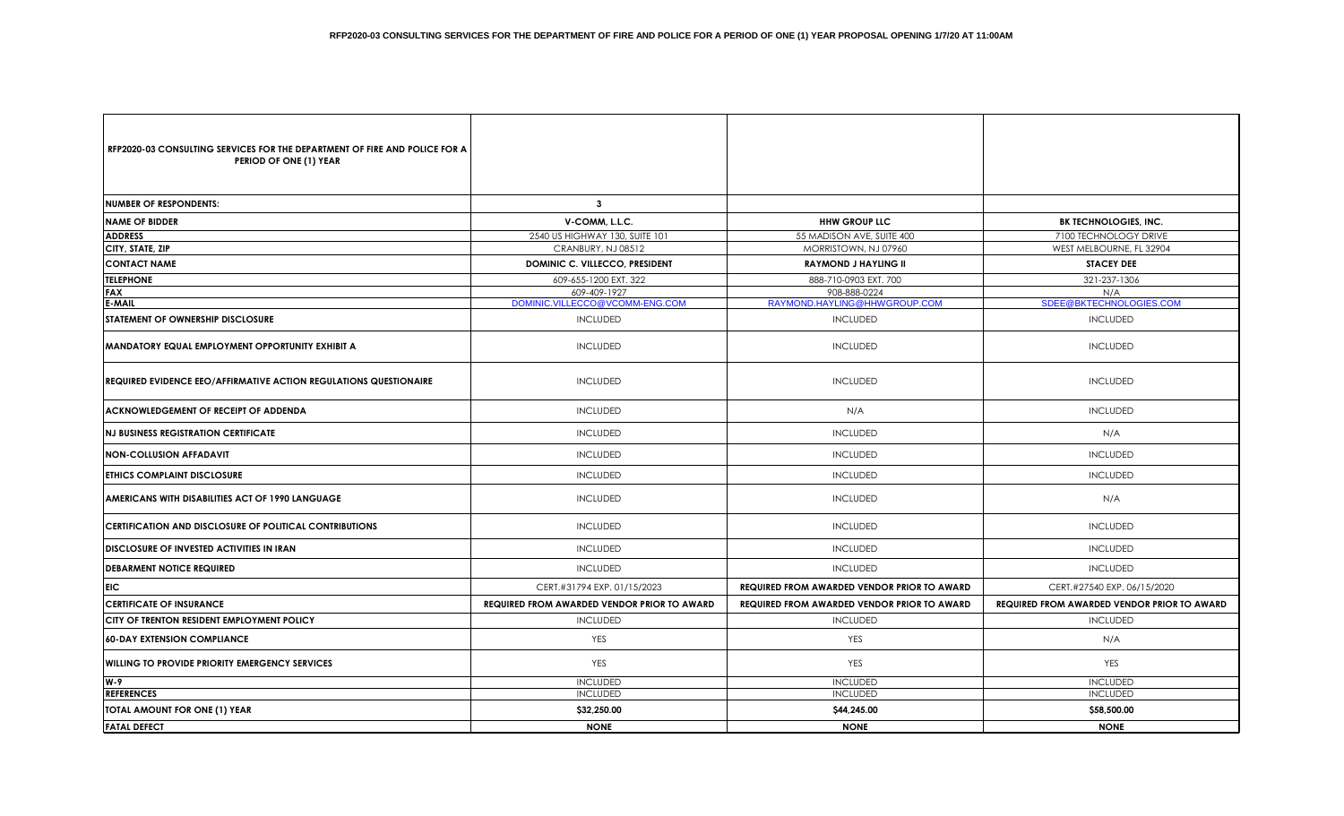| RFP2020-03 CONSULTING SERVICES FOR THE DEPARTMENT OF FIRE AND POLICE FOR A<br>PERIOD OF ONE (1) YEAR |                                                    |                                                    |                                                    |  |
|------------------------------------------------------------------------------------------------------|----------------------------------------------------|----------------------------------------------------|----------------------------------------------------|--|
| <b>INUMBER OF RESPONDENTS:</b>                                                                       | $\mathbf{3}$                                       |                                                    |                                                    |  |
| <b>INAME OF BIDDER</b>                                                                               | V-COMM, L.L.C.                                     | <b>HHW GROUP LLC</b>                               | <b>BK TECHNOLOGIES, INC.</b>                       |  |
| <b>ADDRESS</b>                                                                                       | 2540 US HIGHWAY 130, SUITE 101                     | 55 MADISON AVE, SUITE 400                          | 7100 TECHNOLOGY DRIVE                              |  |
| <b>CITY, STATE, ZIP</b>                                                                              | CRANBURY, NJ 08512                                 | MORRISTOWN, NJ 07960                               | WEST MELBOURNE, FL 32904                           |  |
| <b>CONTACT NAME</b>                                                                                  | DOMINIC C. VILLECCO, PRESIDENT                     | <b>RAYMOND J HAYLING II</b>                        | <b>STACEY DEE</b>                                  |  |
| <b>TELEPHONE</b>                                                                                     | 609-655-1200 EXT. 322                              | 888-710-0903 EXT. 700                              | 321-237-1306                                       |  |
| <b>FAX</b>                                                                                           | 609-409-1927                                       | 908-888-0224                                       | N/A                                                |  |
| E-MAIL                                                                                               | DOMINIC.VILLECCO@VCOMM-ENG.COM                     | RAYMOND.HAYLING@HHWGROUP.COM                       | SDEE@BKTECHNOLOGIES.COM                            |  |
| <b>ISTATEMENT OF OWNERSHIP DISCLOSURE</b>                                                            | <b>INCLUDED</b>                                    | <b>INCLUDED</b>                                    | <b>INCLUDED</b>                                    |  |
| <b>MANDATORY EQUAL EMPLOYMENT OPPORTUNITY EXHIBIT A</b>                                              | <b>INCLUDED</b>                                    | <b>INCLUDED</b>                                    | <b>INCLUDED</b>                                    |  |
| IREQUIRED EVIDENCE EEO/AFFIRMATIVE ACTION REGULATIONS QUESTIONAIRE                                   | <b>INCLUDED</b>                                    | <b>INCLUDED</b>                                    | <b>INCLUDED</b>                                    |  |
| <b>ACKNOWLEDGEMENT OF RECEIPT OF ADDENDA</b>                                                         | <b>INCLUDED</b>                                    | N/A                                                | <b>INCLUDED</b>                                    |  |
| INJ BUSINESS REGISTRATION CERTIFICATE                                                                | <b>INCLUDED</b>                                    | <b>INCLUDED</b>                                    | N/A                                                |  |
| INON-COLLUSION AFFADAVIT                                                                             | <b>INCLUDED</b>                                    | <b>INCLUDED</b>                                    | <b>INCLUDED</b>                                    |  |
| <b>ETHICS COMPLAINT DISCLOSURE</b>                                                                   | <b>INCLUDED</b>                                    | <b>INCLUDED</b>                                    | <b>INCLUDED</b>                                    |  |
| <b>AMERICANS WITH DISABILITIES ACT OF 1990 LANGUAGE</b>                                              | <b>INCLUDED</b>                                    | <b>INCLUDED</b>                                    | N/A                                                |  |
| <b>CERTIFICATION AND DISCLOSURE OF POLITICAL CONTRIBUTIONS</b>                                       | <b>INCLUDED</b>                                    | <b>INCLUDED</b>                                    | <b>INCLUDED</b>                                    |  |
| <b>DISCLOSURE OF INVESTED ACTIVITIES IN IRAN</b>                                                     | <b>INCLUDED</b>                                    | <b>INCLUDED</b>                                    | <b>INCLUDED</b>                                    |  |
| <b>DEBARMENT NOTICE REQUIRED</b>                                                                     | <b>INCLUDED</b>                                    | <b>INCLUDED</b>                                    | <b>INCLUDED</b>                                    |  |
| <b>EIC</b>                                                                                           | CERT.#31794 EXP. 01/15/2023                        | <b>REQUIRED FROM AWARDED VENDOR PRIOR TO AWARD</b> | CERT.#27540 EXP. 06/15/2020                        |  |
| <b>ICERTIFICATE OF INSURANCE</b>                                                                     | <b>REQUIRED FROM AWARDED VENDOR PRIOR TO AWARD</b> | <b>REQUIRED FROM AWARDED VENDOR PRIOR TO AWARD</b> | <b>REQUIRED FROM AWARDED VENDOR PRIOR TO AWARD</b> |  |
| ICITY OF TRENTON RESIDENT EMPLOYMENT POLICY                                                          | <b>INCLUDED</b>                                    | <b>INCLUDED</b>                                    | <b>INCLUDED</b>                                    |  |
| <b>1</b> 60-DAY EXTENSION COMPLIANCE                                                                 | YES                                                | <b>YES</b>                                         | N/A                                                |  |
| <b>IWILLING TO PROVIDE PRIORITY EMERGENCY SERVICES</b>                                               | YES                                                | YES                                                | <b>YES</b>                                         |  |
| lw-9                                                                                                 | <b>INCLUDED</b>                                    | <b>INCLUDED</b>                                    | <b>INCLUDED</b>                                    |  |
| <b>REFERENCES</b>                                                                                    | <b>INCLUDED</b>                                    | <b>INCLUDED</b>                                    | <b>INCLUDED</b>                                    |  |
| TOTAL AMOUNT FOR ONE (1) YEAR                                                                        | \$32,250.00                                        | \$44,245.00                                        | \$58,500.00                                        |  |
| <b>FATAL DEFECT</b>                                                                                  | <b>NONE</b>                                        | <b>NONE</b>                                        | <b>NONE</b>                                        |  |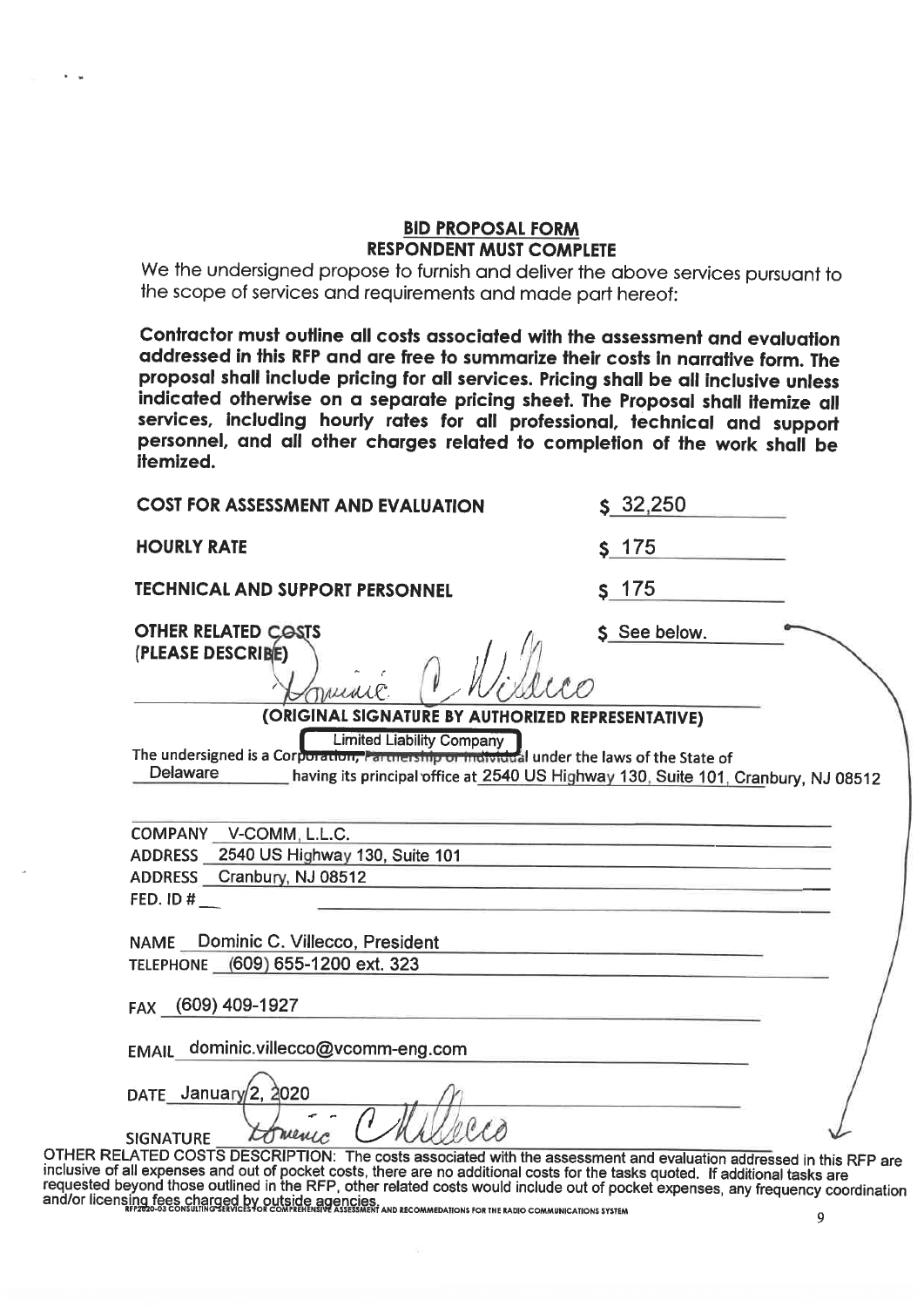## **BID PROPOSAL FORM RESPONDENT MUST COMPLETE**

We the undersigned propose to furnish and deliver the above services pursuant to the scope of services and requirements and made part hereof:

Contractor must outline all costs associated with the assessment and evaluation addressed in this RFP and are free to summarize their costs in narrative form. The proposal shall include pricing for all services. Pricing shall be all inclusive unless indicated otherwise on a separate pricing sheet. The Proposal shall itemize all services, including hourly rates for all professional, technical and support personnel, and all other charges related to completion of the work shall be itemized.

| <b>COST FOR ASSESSMENT AND EVALUATION</b>                                                                                                  | $S$ , 32, 250                                                                                                              |
|--------------------------------------------------------------------------------------------------------------------------------------------|----------------------------------------------------------------------------------------------------------------------------|
| <b>HOURLY RATE</b>                                                                                                                         | \$175                                                                                                                      |
| <b>TECHNICAL AND SUPPORT PERSONNEL</b>                                                                                                     | $s$ 175                                                                                                                    |
| <b>OTHER RELATED COSTS</b><br>(PLEASE DESCRIBE)<br>DALLILLE                                                                                | \$ See below.                                                                                                              |
| (ORIGINAL SIGNATURE BY AUTHORIZED REPRESENTATIVE)                                                                                          |                                                                                                                            |
| <b>Limited Liability Company</b><br>The undersigned is a Corporation, Partnership or individual under the laws of the State of<br>Delaware | having its principal office at 2540 US Highway 130, Suite 101, Cranbury, NJ 08512                                          |
| COMPANY V-COMM, L.L.C.                                                                                                                     |                                                                                                                            |
| ADDRESS 2540 US Highway 130, Suite 101                                                                                                     |                                                                                                                            |
| ADDRESS Cranbury, NJ 08512                                                                                                                 | <u>.</u><br>1980 - Paris Barbara, prima matematični principalni prima iz prima prima prima iz prima iz prima iz prima iz p |
| FED. ID $#$                                                                                                                                |                                                                                                                            |
|                                                                                                                                            |                                                                                                                            |
| NAME Dominic C. Villecco, President                                                                                                        |                                                                                                                            |
| TELEPHONE (609) 655-1200 ext. 323                                                                                                          |                                                                                                                            |
| FAX (609) 409-1927                                                                                                                         |                                                                                                                            |
|                                                                                                                                            |                                                                                                                            |
| EMAIL dominic.villecco@vcomm-eng.com                                                                                                       |                                                                                                                            |
|                                                                                                                                            |                                                                                                                            |
| DATE January $2, 2020$                                                                                                                     |                                                                                                                            |
| <b>SIGNATURE</b>                                                                                                                           |                                                                                                                            |
| ELATED COSTS DESCRIPTION: The costs associated with the assessment and evaluation addressed in this RFP are                                |                                                                                                                            |

**OTHER R** inclusive of all expenses and out of pocket costs, there are no additional costs for the tasks quoted. If additional tasks are<br>requested beyond those outlined in the RFP, other related costs would include out of pocket exp and/or licensing fees charged by outside agencies.<br>and/or licensing fees charged by outside agencies  $\overline{9}$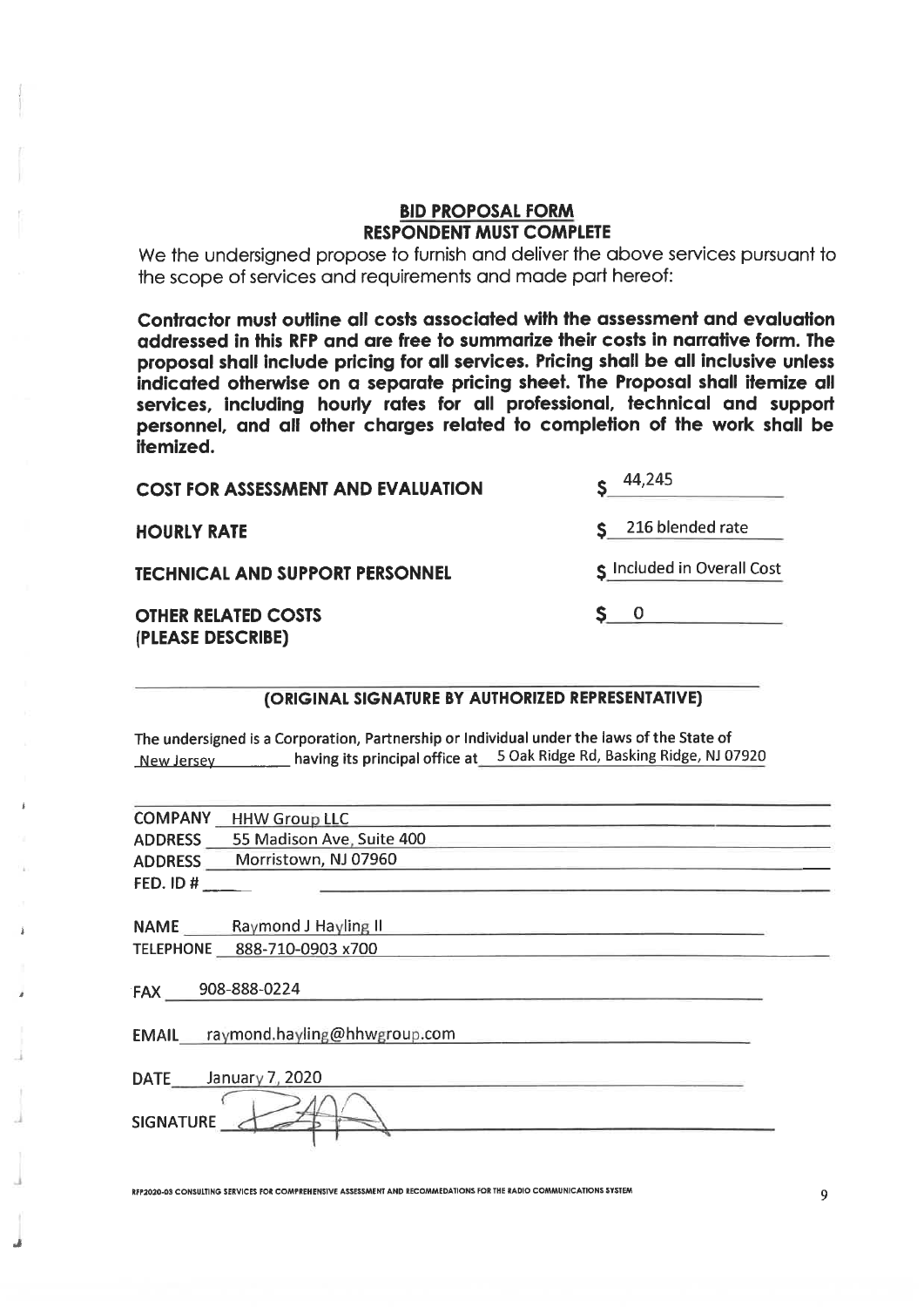## **BID PROPOSAL FORM RESPONDENT MUST COMPLETE**

We the undersigned propose to furnish and deliver the above services pursuant to the scope of services and requirements and made part hereof:

Contractor must outline all costs associated with the assessment and evaluation addressed in this RFP and are free to summarize their costs in narrative form. The proposal shall include pricing for all services. Pricing shall be all inclusive unless indicated otherwise on a separate pricing sheet. The Proposal shall itemize all services, including hourly rates for all professional, technical and support personnel, and all other charges related to completion of the work shall be itemized.

| <b>COST FOR ASSESSMENT AND EVALUATION</b>       | 44,245                     |  |  |
|-------------------------------------------------|----------------------------|--|--|
| <b>HOURLY RATE</b>                              | \$216 blended rate         |  |  |
| <b>TECHNICAL AND SUPPORT PERSONNEL</b>          | S Included in Overall Cost |  |  |
| <b>OTHER RELATED COSTS</b><br>(PLEASE DESCRIBE) | $S \quad 0$                |  |  |

#### (ORIGINAL SIGNATURE BY AUTHORIZED REPRESENTATIVE)

The undersigned is a Corporation, Partnership or Individual under the laws of the State of New Jersey \_\_\_\_\_\_\_\_ having its principal office at \_\_5 Oak Ridge Rd, Basking Ridge, NJ 07920

| <b>COMPANY</b><br><b>HHW Group LLC</b>      |
|---------------------------------------------|
| 55 Madison Ave, Suite 400<br><b>ADDRESS</b> |
| Morristown, NJ 07960<br><b>ADDRESS</b>      |
| FED. ID $#$                                 |
|                                             |
| NAME Raymond J Hayling II                   |
| TELEPHONE 888-710-0903 x700                 |
| 908-888-0224<br>FAX                         |
| EMAIL raymond.hayling@hhwgroup.com          |
|                                             |
| January 7, 2020<br><b>DATE</b>              |
| <b>SIGNATURE</b>                            |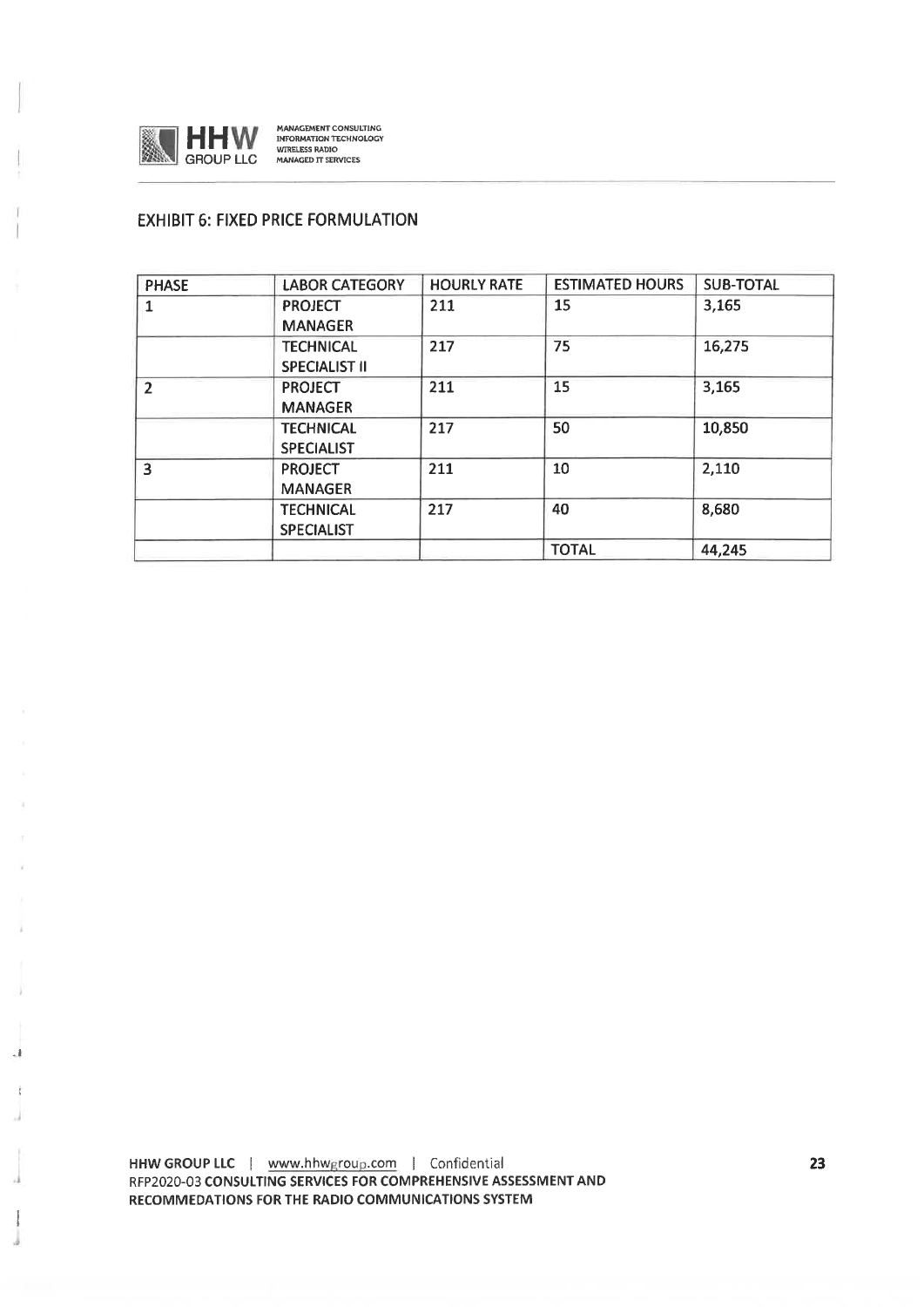

 $\cdot$ 

MANAGEMENT CONSULTING<br>INFORMATION TECHNOLOGY<br>WIRELESS RADIO<br>MANAGED IT SERVICES

## **EXHIBIT 6: FIXED PRICE FORMULATION**

| <b>PHASE</b>             | <b>LABOR CATEGORY</b> | <b>HOURLY RATE</b> | <b>ESTIMATED HOURS</b> | <b>SUB-TOTAL</b> |
|--------------------------|-----------------------|--------------------|------------------------|------------------|
|                          | <b>PROJECT</b>        | 211                | 15                     | 3,165            |
|                          | <b>MANAGER</b>        |                    |                        |                  |
|                          | <b>TECHNICAL</b>      | 217                | 75                     | 16,275           |
|                          | <b>SPECIALIST II</b>  |                    |                        |                  |
| $\overline{\phantom{a}}$ | <b>PROJECT</b>        | 211                | 15                     | 3,165            |
|                          | <b>MANAGER</b>        |                    |                        |                  |
|                          | <b>TECHNICAL</b>      | 217                | 50                     | 10,850           |
|                          | <b>SPECIALIST</b>     |                    |                        |                  |
| 3                        | <b>PROJECT</b>        | 211                | 10                     | 2,110            |
|                          | <b>MANAGER</b>        |                    |                        |                  |
|                          | <b>TECHNICAL</b>      | 217                | 40                     | 8,680            |
|                          | <b>SPECIALIST</b>     |                    |                        |                  |
|                          |                       |                    | <b>TOTAL</b>           | 44,245           |

HHW GROUP LLC | www.hhwgroup.com | Confidential RFP2020-03 CONSULTING SERVICES FOR COMPREHENSIVE ASSESSMENT AND RECOMMEDATIONS FOR THE RADIO COMMUNICATIONS SYSTEM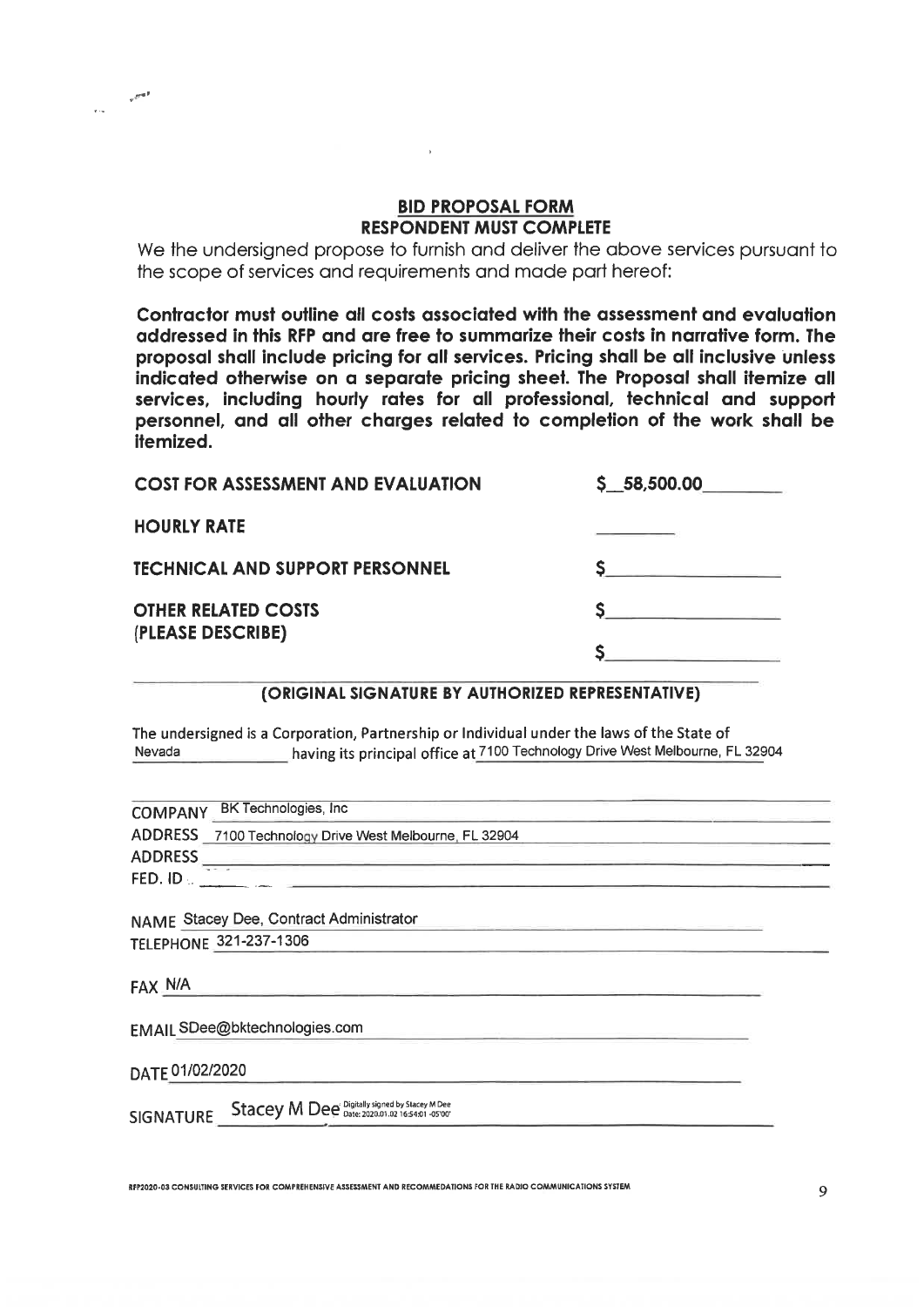## **BID PROPOSAL FORM RESPONDENT MUST COMPLETE**

We the undersigned propose to furnish and deliver the above services pursuant to the scope of services and requirements and made part hereof:

Contractor must outline all costs associated with the assessment and evaluation addressed in this RFP and are free to summarize their costs in narrative form. The proposal shall include pricing for all services. Pricing shall be all inclusive unless indicated otherwise on a separate pricing sheet. The Proposal shall itemize all services, including hourly rates for all professional, technical and support personnel, and all other charges related to completion of the work shall be itemized.

| <b>COST FOR ASSESSMENT AND EVALUATION</b> | \$5,58,500.00 |
|-------------------------------------------|---------------|
| <b>HOURLY RATE</b>                        |               |
| <b>TECHNICAL AND SUPPORT PERSONNEL</b>    |               |
| <b>OTHER RELATED COSTS</b>                |               |
| (PLEASE DESCRIBE)                         |               |

### (ORIGINAL SIGNATURE BY AUTHORIZED REPRESENTATIVE)

The undersigned is a Corporation, Partnership or Individual under the laws of the State of having its principal office at 7100 Technology Drive West Melbourne, FL 32904 Nevada

| COMPANY BK Technologies, Inc                            |
|---------------------------------------------------------|
| ADDRESS 7100 Technology Drive West Melbourne, FL 32904  |
| ADDRESS                                                 |
|                                                         |
|                                                         |
| NAME Stacey Dee, Contract Administrator                 |
| <b>TELEPHONE 321-237-1306</b>                           |
|                                                         |
| FAX N/A                                                 |
|                                                         |
| EMAIL SDee@bktechnologies.com                           |
| DATE 01/02/2020                                         |
| SIGNATURE Stacey M Dee Digitally signed by Stacey M Dee |
|                                                         |

RFP2020-03 CONSULTING SERVICES FOR COMPREHENSIVE ASSESSMENT AND RECOMMEDATIONS FOR THE RADIO COMMUNICATIONS SYSTEM